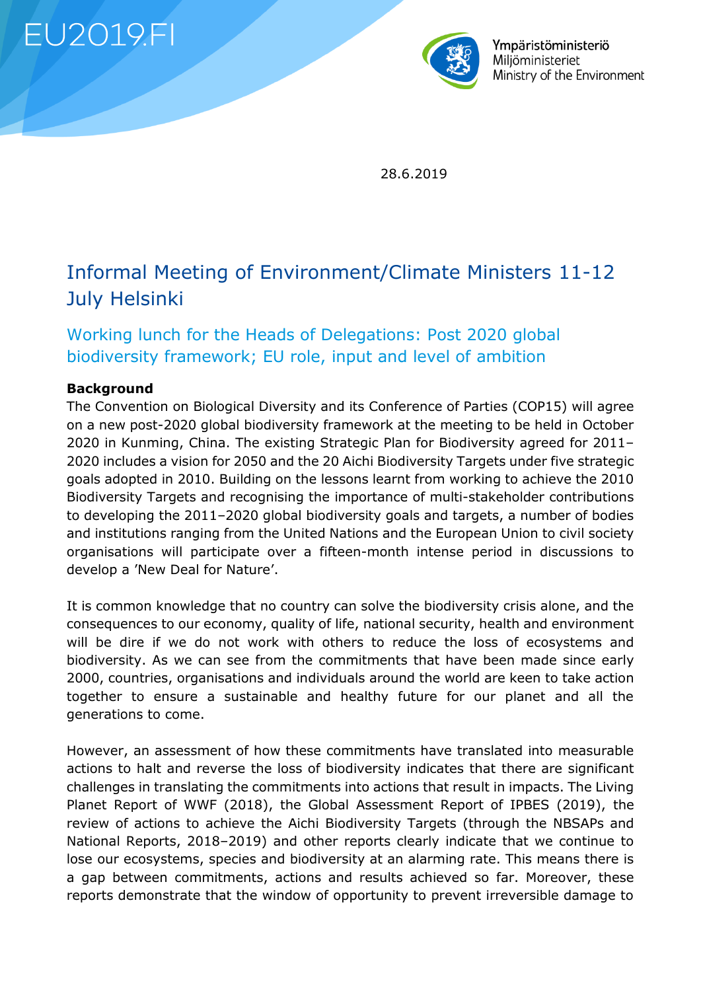**EU2019.FI** 



Ympäristöministeriö Miliöministeriet Ministry of the Environment

28.6.2019

# Informal Meeting of Environment/Climate Ministers 11-12 July Helsinki

# Working lunch for the Heads of Delegations: Post 2020 global biodiversity framework; EU role, input and level of ambition

#### **Background**

The Convention on Biological Diversity and its Conference of Parties (COP15) will agree on a new post-2020 global biodiversity framework at the meeting to be held in October 2020 in Kunming, China. The existing Strategic Plan for Biodiversity agreed for 2011– 2020 includes a vision for 2050 and the 20 Aichi Biodiversity Targets under five strategic goals adopted in 2010. Building on the lessons learnt from working to achieve the 2010 Biodiversity Targets and recognising the importance of multi-stakeholder contributions to developing the 2011–2020 global biodiversity goals and targets, a number of bodies and institutions ranging from the United Nations and the European Union to civil society organisations will participate over a fifteen-month intense period in discussions to develop a 'New Deal for Nature'.

It is common knowledge that no country can solve the biodiversity crisis alone, and the consequences to our economy, quality of life, national security, health and environment will be dire if we do not work with others to reduce the loss of ecosystems and biodiversity. As we can see from the commitments that have been made since early 2000, countries, organisations and individuals around the world are keen to take action together to ensure a sustainable and healthy future for our planet and all the generations to come.

However, an assessment of how these commitments have translated into measurable actions to halt and reverse the loss of biodiversity indicates that there are significant challenges in translating the commitments into actions that result in impacts. The Living Planet Report of WWF (2018), the Global Assessment Report of IPBES (2019), the review of actions to achieve the Aichi Biodiversity Targets (through the NBSAPs and National Reports, 2018–2019) and other reports clearly indicate that we continue to lose our ecosystems, species and biodiversity at an alarming rate. This means there is a gap between commitments, actions and results achieved so far. Moreover, these reports demonstrate that the window of opportunity to prevent irreversible damage to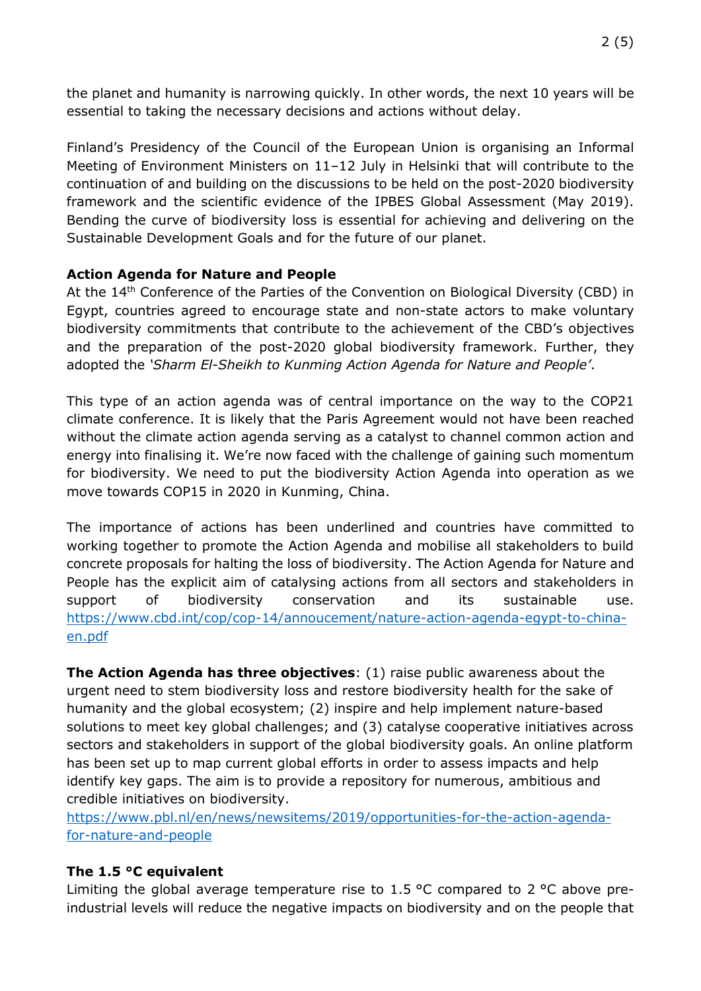the planet and humanity is narrowing quickly. In other words, the next 10 years will be essential to taking the necessary decisions and actions without delay.

Finland's Presidency of the Council of the European Union is organising an Informal Meeting of Environment Ministers on 11–12 July in Helsinki that will contribute to the continuation of and building on the discussions to be held on the post-2020 biodiversity framework and the scientific evidence of the IPBES Global Assessment (May 2019). Bending the curve of biodiversity loss is essential for achieving and delivering on the Sustainable Development Goals and for the future of our planet.

### **Action Agenda for Nature and People**

At the 14<sup>th</sup> Conference of the Parties of the Convention on Biological Diversity (CBD) in Egypt, countries agreed to encourage state and non-state actors to make voluntary biodiversity commitments that contribute to the achievement of the CBD's objectives and the preparation of the post-2020 global biodiversity framework. Further, they adopted the *'Sharm El-Sheikh to Kunming Action Agenda for Nature and People'*.

This type of an action agenda was of central importance on the way to the COP21 climate conference. It is likely that the Paris Agreement would not have been reached without the climate action agenda serving as a catalyst to channel common action and energy into finalising it. We're now faced with the challenge of gaining such momentum for biodiversity. We need to put the biodiversity Action Agenda into operation as we move towards COP15 in 2020 in Kunming, China.

The importance of actions has been underlined and countries have committed to working together to promote the Action Agenda and mobilise all stakeholders to build concrete proposals for halting the loss of biodiversity. The Action Agenda for Nature and People has the explicit aim of catalysing actions from all sectors and stakeholders in support of biodiversity conservation and its sustainable use. [https://www.cbd.int/cop/cop-14/annoucement/nature-action-agenda-egypt-to-china](https://www.cbd.int/cop/cop-14/annoucement/nature-action-agenda-egypt-to-china-en.pdf)[en.pdf](https://www.cbd.int/cop/cop-14/annoucement/nature-action-agenda-egypt-to-china-en.pdf)

**The Action Agenda has three objectives**: (1) raise public awareness about the urgent need to stem biodiversity loss and restore biodiversity health for the sake of humanity and the global ecosystem; (2) inspire and help implement nature-based solutions to meet key global challenges; and (3) catalyse cooperative initiatives across sectors and stakeholders in support of the global biodiversity goals. An online platform has been set up to map current global efforts in order to assess impacts and help identify key gaps. The aim is to provide a repository for numerous, ambitious and credible initiatives on biodiversity.

[https://www.pbl.nl/en/news/newsitems/2019/opportunities-for-the-action-agenda](https://www.pbl.nl/en/news/newsitems/2019/opportunities-for-the-action-agenda-for-nature-and-people)[for-nature-and-people](https://www.pbl.nl/en/news/newsitems/2019/opportunities-for-the-action-agenda-for-nature-and-people)

### **The 1.5 °C equivalent**

Limiting the global average temperature rise to 1.5 °C compared to 2 °C above preindustrial levels will reduce the negative impacts on biodiversity and on the people that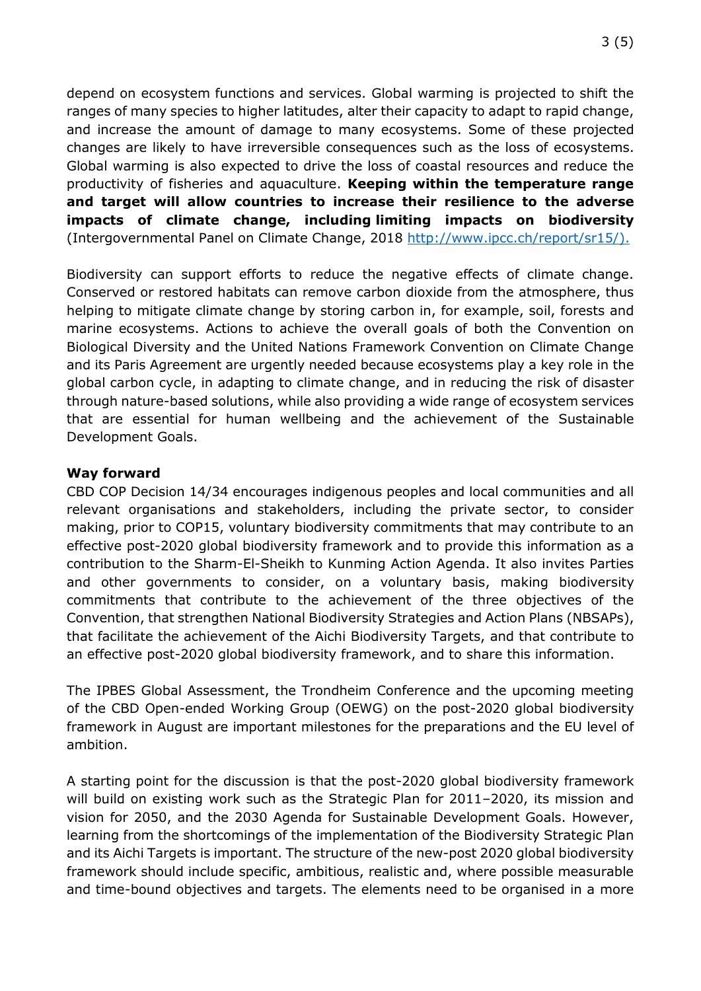depend on ecosystem functions and services. Global warming is projected to shift the ranges of many species to higher latitudes, alter their capacity to adapt to rapid change, and increase the amount of damage to many ecosystems. Some of these projected changes are likely to have irreversible consequences such as the loss of ecosystems. Global warming is also expected to drive the loss of coastal resources and reduce the productivity of fisheries and aquaculture. **Keeping within the temperature range and target will allow countries to increase their resilience to the adverse impacts of climate change, including limiting impacts on biodiversity** (Intergovernmental Panel on Climate Change, 2018 [http://www.ipcc.ch/report/sr15/\)](http://www.ipcc.ch/report/sr15/).

Biodiversity can support efforts to reduce the negative effects of climate change. Conserved or restored habitats can remove carbon dioxide from the atmosphere, thus helping to mitigate climate change by storing carbon in, for example, soil, forests and marine ecosystems. Actions to achieve the overall goals of both the Convention on Biological Diversity and the United Nations Framework Convention on Climate Change and its Paris Agreement are urgently needed because ecosystems play a key role in the global carbon cycle, in adapting to climate change, and in reducing the risk of disaster through nature-based solutions, while also providing a wide range of ecosystem services that are essential for human wellbeing and the achievement of the Sustainable Development Goals.

#### **Way forward**

CBD COP Decision 14/34 encourages indigenous peoples and local communities and all relevant organisations and stakeholders, including the private sector, to consider making, prior to COP15, voluntary biodiversity commitments that may contribute to an effective post-2020 global biodiversity framework and to provide this information as a contribution to the Sharm-El-Sheikh to Kunming Action Agenda. It also invites Parties and other governments to consider, on a voluntary basis, making biodiversity commitments that contribute to the achievement of the three objectives of the Convention, that strengthen National Biodiversity Strategies and Action Plans (NBSAPs), that facilitate the achievement of the Aichi Biodiversity Targets, and that contribute to an effective post-2020 global biodiversity framework, and to share this information.

The IPBES Global Assessment, the Trondheim Conference and the upcoming meeting of the CBD Open-ended Working Group (OEWG) on the post-2020 global biodiversity framework in August are important milestones for the preparations and the EU level of ambition.

A starting point for the discussion is that the post-2020 global biodiversity framework will build on existing work such as the Strategic Plan for 2011–2020, its mission and vision for 2050, and the 2030 Agenda for Sustainable Development Goals. However, learning from the shortcomings of the implementation of the Biodiversity Strategic Plan and its Aichi Targets is important. The structure of the new-post 2020 global biodiversity framework should include specific, ambitious, realistic and, where possible measurable and time-bound objectives and targets. The elements need to be organised in a more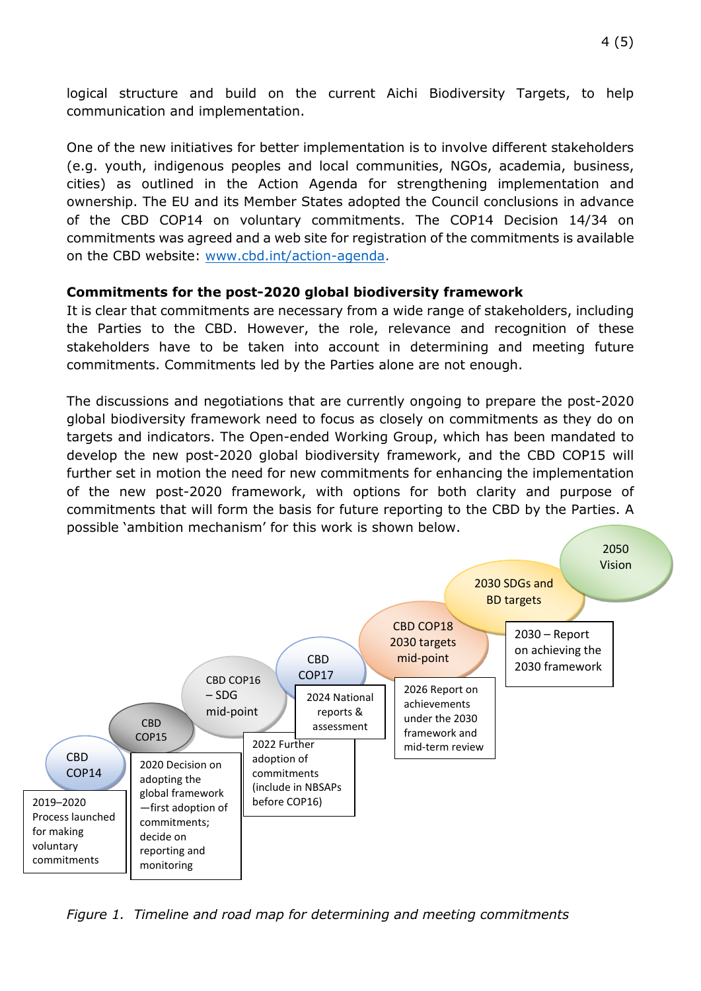logical structure and build on the current Aichi Biodiversity Targets, to help communication and implementation.

One of the new initiatives for better implementation is to involve different stakeholders (e.g. youth, indigenous peoples and local communities, NGOs, academia, business, cities) as outlined in the Action Agenda for strengthening implementation and ownership. The EU and its Member States adopted the Council conclusions in advance of the CBD COP14 on voluntary commitments. The COP14 Decision 14/34 on commitments was agreed and a web site for registration of the commitments is available on the CBD website: [www.cbd.int/action-agenda.](http://www.cbd.int/action-agenda)

#### **Commitments for the post-2020 global biodiversity framework**

It is clear that commitments are necessary from a wide range of stakeholders, including the Parties to the CBD. However, the role, relevance and recognition of these stakeholders have to be taken into account in determining and meeting future commitments. Commitments led by the Parties alone are not enough.

The discussions and negotiations that are currently ongoing to prepare the post-2020 global biodiversity framework need to focus as closely on commitments as they do on targets and indicators. The Open-ended Working Group, which has been mandated to develop the new post-2020 global biodiversity framework, and the CBD COP15 will further set in motion the need for new commitments for enhancing the implementation of the new post-2020 framework, with options for both clarity and purpose of commitments that will form the basis for future reporting to the CBD by the Parties. A possible 'ambition mechanism' for this work is shown below.



*Figure 1. Timeline and road map for determining and meeting commitments*